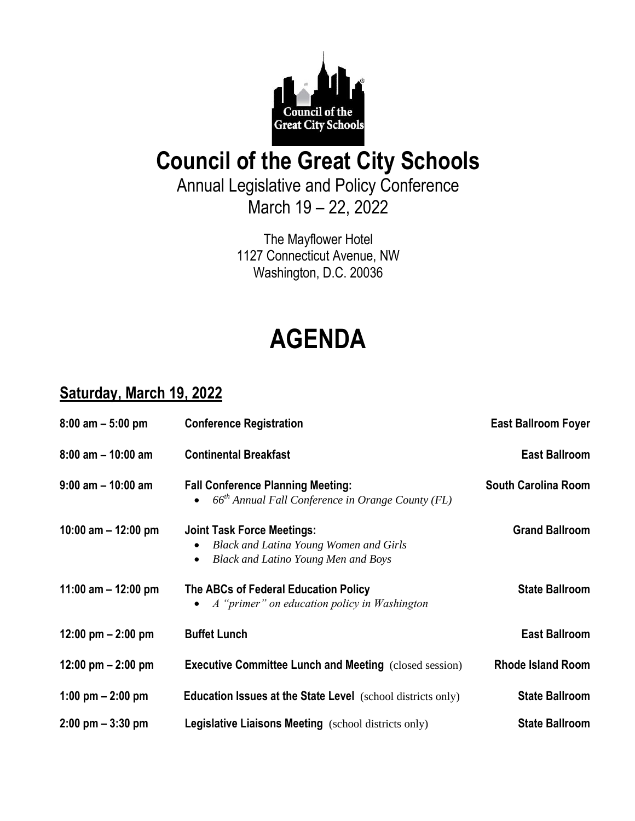

## **Council of the Great City Schools**

Annual Legislative and Policy Conference March 19 – 22, 2022

> The Mayflower Hotel 1127 Connecticut Avenue, NW Washington, D.C. 20036

# **AGENDA**

#### **Saturday, March 19, 2022**

| $8:00$ am $-5:00$ pm                | <b>Conference Registration</b>                                                                                                                             | <b>East Ballroom Foyer</b> |
|-------------------------------------|------------------------------------------------------------------------------------------------------------------------------------------------------------|----------------------------|
| $8:00$ am $-10:00$ am               | <b>Continental Breakfast</b>                                                                                                                               | <b>East Ballroom</b>       |
| $9:00$ am $-10:00$ am               | <b>Fall Conference Planning Meeting:</b><br>• $66th$ Annual Fall Conference in Orange County (FL)                                                          | <b>South Carolina Room</b> |
| 10:00 am $-$ 12:00 pm               | <b>Joint Task Force Meetings:</b><br><b>Black and Latina Young Women and Girls</b><br>$\bullet$<br><b>Black and Latino Young Men and Boys</b><br>$\bullet$ | <b>Grand Ballroom</b>      |
| 11:00 am $-$ 12:00 pm               | The ABCs of Federal Education Policy<br>A "primer" on education policy in Washington                                                                       | <b>State Ballroom</b>      |
| 12:00 pm $-$ 2:00 pm                | <b>Buffet Lunch</b>                                                                                                                                        | <b>East Ballroom</b>       |
| 12:00 pm $-$ 2:00 pm                | <b>Executive Committee Lunch and Meeting (closed session)</b>                                                                                              | <b>Rhode Island Room</b>   |
| 1:00 pm $- 2:00$ pm                 | <b>Education Issues at the State Level</b> (school districts only)                                                                                         | <b>State Ballroom</b>      |
| $2:00 \text{ pm} - 3:30 \text{ pm}$ | <b>Legislative Liaisons Meeting</b> (school districts only)                                                                                                | <b>State Ballroom</b>      |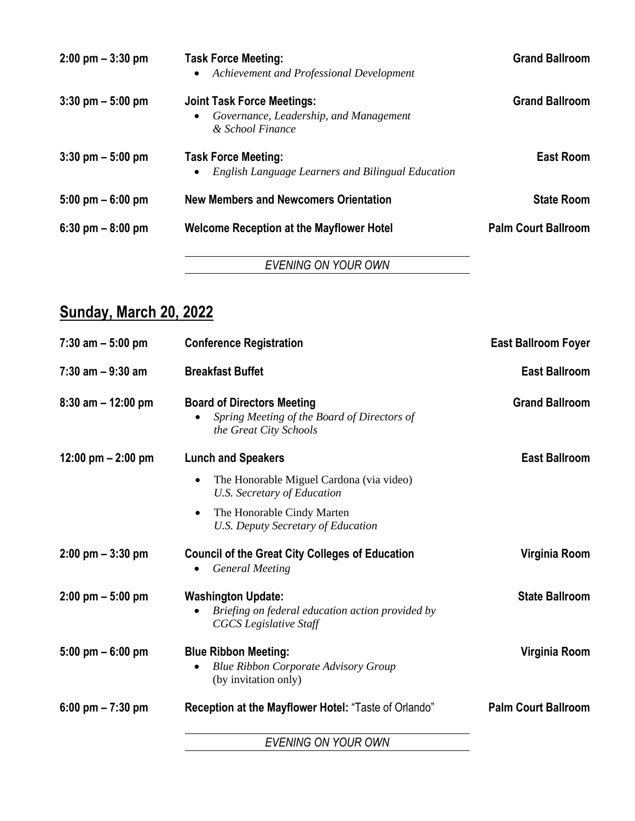| $2:00 \text{ pm} - 3:30 \text{ pm}$ | <b>Task Force Meeting:</b><br>Achievement and Professional Development                          | <b>Grand Ballroom</b>      |
|-------------------------------------|-------------------------------------------------------------------------------------------------|----------------------------|
| $3:30$ pm $-5:00$ pm                | <b>Joint Task Force Meetings:</b><br>Governance, Leadership, and Management<br>& School Finance | <b>Grand Ballroom</b>      |
| $3:30$ pm $-5:00$ pm                | <b>Task Force Meeting:</b><br>English Language Learners and Bilingual Education                 | <b>East Room</b>           |
| $5:00 \text{ pm} - 6:00 \text{ pm}$ | <b>New Members and Newcomers Orientation</b>                                                    | <b>State Room</b>          |
| $6:30$ pm $-8:00$ pm                | <b>Welcome Reception at the Mayflower Hotel</b>                                                 | <b>Palm Court Ballroom</b> |
|                                     | EVENING ON YOUR OWN                                                                             |                            |

### **Sunday, March 20, 2022**

| $7:30$ am $-5:00$ pm                | <b>Conference Registration</b>                                                                                 | <b>East Ballroom Foyer</b> |
|-------------------------------------|----------------------------------------------------------------------------------------------------------------|----------------------------|
| $7:30$ am $-9:30$ am                | <b>Breakfast Buffet</b>                                                                                        | <b>East Ballroom</b>       |
| $8:30$ am $-12:00$ pm               | <b>Board of Directors Meeting</b><br>Spring Meeting of the Board of Directors of<br>the Great City Schools     | <b>Grand Ballroom</b>      |
| 12:00 pm $-$ 2:00 pm                | <b>Lunch and Speakers</b>                                                                                      | <b>East Ballroom</b>       |
|                                     | The Honorable Miguel Cardona (via video)<br>$\bullet$<br>U.S. Secretary of Education                           |                            |
|                                     | The Honorable Cindy Marten<br>$\bullet$<br><b>U.S. Deputy Secretary of Education</b>                           |                            |
| $2:00 \text{ pm} - 3:30 \text{ pm}$ | <b>Council of the Great City Colleges of Education</b><br><b>General Meeting</b>                               | Virginia Room              |
| $2:00 \text{ pm} - 5:00 \text{ pm}$ | <b>Washington Update:</b><br>Briefing on federal education action provided by<br><b>CGCS</b> Legislative Staff | <b>State Ballroom</b>      |
| $5:00 \text{ pm} - 6:00 \text{ pm}$ | <b>Blue Ribbon Meeting:</b><br><b>Blue Ribbon Corporate Advisory Group</b><br>(by invitation only)             | Virginia Room              |
| 6:00 pm $-7:30$ pm                  | Reception at the Mayflower Hotel: "Taste of Orlando"                                                           | <b>Palm Court Ballroom</b> |
|                                     | <b>EVENING ON YOUR OWN</b>                                                                                     |                            |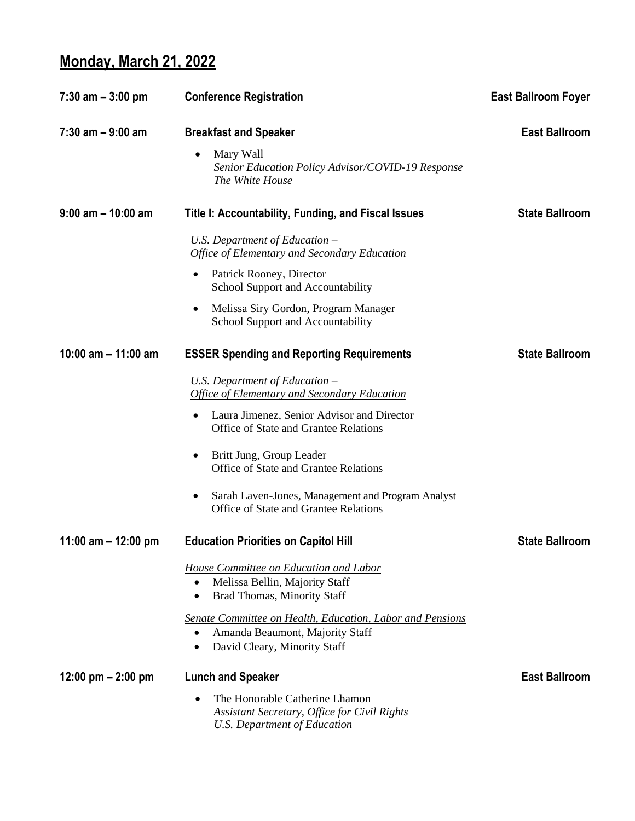#### **Monday, March 21, 2022**

| $7:30$ am $-3:00$ pm  | <b>Conference Registration</b>                                                                                                    | <b>East Ballroom Foyer</b> |
|-----------------------|-----------------------------------------------------------------------------------------------------------------------------------|----------------------------|
| $7:30$ am $-9:00$ am  | <b>Breakfast and Speaker</b>                                                                                                      | <b>East Ballroom</b>       |
|                       | Mary Wall<br>Senior Education Policy Advisor/COVID-19 Response<br>The White House                                                 |                            |
| $9:00$ am $-10:00$ am | Title I: Accountability, Funding, and Fiscal Issues                                                                               | <b>State Ballroom</b>      |
|                       | U.S. Department of Education $-$<br><b>Office of Elementary and Secondary Education</b>                                           |                            |
|                       | Patrick Rooney, Director<br>٠<br>School Support and Accountability                                                                |                            |
|                       | Melissa Siry Gordon, Program Manager<br>School Support and Accountability                                                         |                            |
| 10:00 am $-$ 11:00 am | <b>ESSER Spending and Reporting Requirements</b>                                                                                  | <b>State Ballroom</b>      |
|                       | U.S. Department of Education $-$<br><b>Office of Elementary and Secondary Education</b>                                           |                            |
|                       | Laura Jimenez, Senior Advisor and Director<br>Office of State and Grantee Relations                                               |                            |
|                       | Britt Jung, Group Leader<br>Office of State and Grantee Relations                                                                 |                            |
|                       | Sarah Laven-Jones, Management and Program Analyst<br>$\bullet$<br>Office of State and Grantee Relations                           |                            |
| 11:00 am $-$ 12:00 pm | <b>Education Priorities on Capitol Hill</b>                                                                                       | <b>State Ballroom</b>      |
|                       | House Committee on Education and Labor<br>Melissa Bellin, Majority Staff<br>$\bullet$<br>Brad Thomas, Minority Staff<br>٠         |                            |
|                       | Senate Committee on Health, Education, Labor and Pensions<br>Amanda Beaumont, Majority Staff<br>٠<br>David Cleary, Minority Staff |                            |
| 12:00 pm $-$ 2:00 pm  | <b>Lunch and Speaker</b>                                                                                                          | <b>East Ballroom</b>       |
|                       | The Honorable Catherine Lhamon<br>Assistant Secretary, Office for Civil Rights<br><b>U.S. Department of Education</b>             |                            |